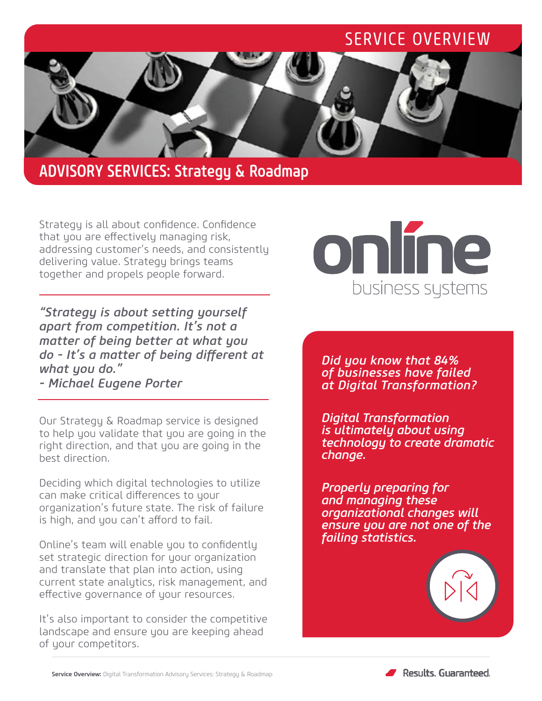# SERVICE OVERVIEW



## ADVISORY SERVICES: Strategy & Roadmap

Strategy is all about confidence. Confidence that you are effectively managing risk, addressing customer's needs, and consistently delivering value. Strategy brings teams together and propels people forward.

*"Strategy is about setting yourself apart from competition. It's not a matter of being better at what you do - It's a matter of being different at what you do."* 

*- Michael Eugene Porter*

Our Strategy & Roadmap service is designed to help you validate that you are going in the right direction, and that you are going in the best direction.

Deciding which digital technologies to utilize can make critical differences to your organization's future state. The risk of failure is high, and you can't afford to fail.

Online's team will enable you to confidently set strategic direction for your organization and translate that plan into action, using current state analytics, risk management, and effective governance of your resources.

It's also important to consider the competitive landscape and ensure you are keeping ahead of your competitors.

# online business systems

*Did you know that 84% of businesses have failed at Digital Transformation?*

*Digital Transformation is ultimately about using technology to create dramatic change.*

*Properly preparing for and managing these organizational changes will ensure you are not one of the failing statistics.* 

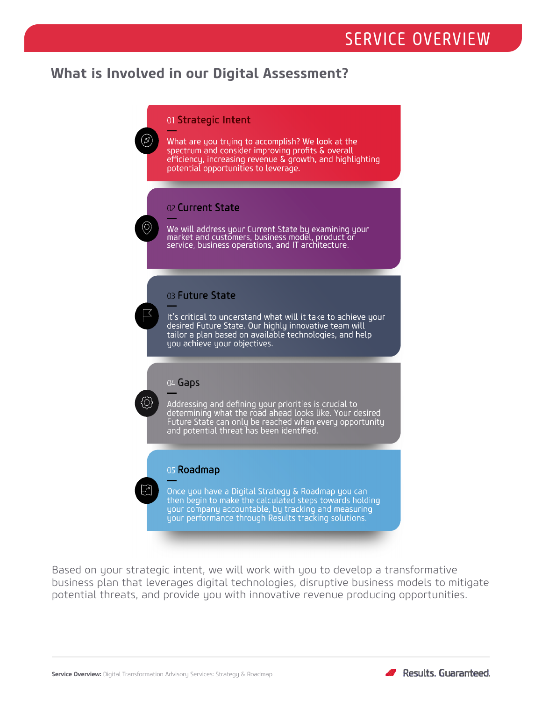# SERVICE OVERVIEW

## **What is Involved in our Digital Assessment?**

#### 01 Strategic Intent

What are you trying to accomplish? We look at the spectrum and consider improving profits & overall efficiency, increasing revenue & growth, and highlighting potential opportunities to leverage.

#### 02 Current State

We will address your Current State by examining your<br>market and customers, business model, product or<br>service, business operations, and IT architecture.

#### 03 Future State

It's critical to understand what will it take to achieve your desired Future State. Our highly innovative team will tailor a plan based on available technologies, and help you achieve your objectives.

#### 04 Gaps

Addressing and defining your priorities is crucial to determining what the road ahead looks like. Your desired Future State can only be reached when every opportunity and potential threat has been identified.

#### 05 Roadmap

Once you have a Digital Strategy & Roadmap you can then begin to make the calculated steps towards holding<br>your company accountable, by tracking and measuring<br>your performance through Results tracking solutions.

Based on your strategic intent, we will work with you to develop a transformative business plan that leverages digital technologies, disruptive business models to mitigate potential threats, and provide you with innovative revenue producing opportunities.